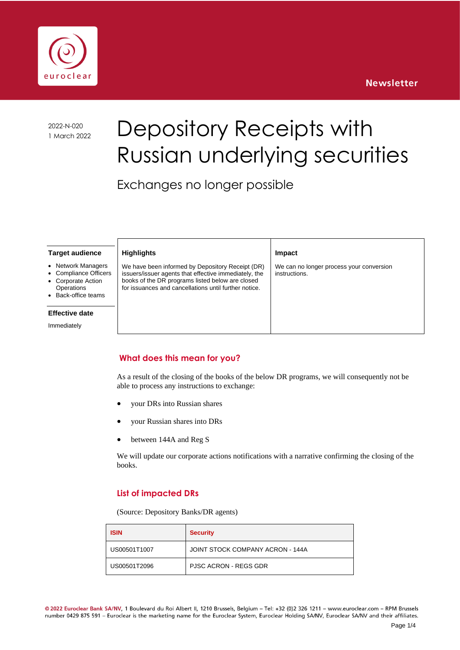



2022-N-020

# 2022-N-020 Depository Receipts with Russian underlying securities

Exchanges no longer possible

|  | <b>Target audience</b> |
|--|------------------------|
|--|------------------------|

- **Network Managers**
- Compliance Officers
- Corporate Action
- **Operations**
- Back-office teams

#### **Effective date**

Immediately

We have been informed by Depository Receipt (DR) issuers/issuer agents that effective immediately, the books of the DR programs listed below are closed for issuances and cancellations until further notice.

**Highlights**

#### **Impact**

We can no longer process your conversion instructions.

## **What does this mean for you?**

As a result of the closing of the books of the below DR programs, we will consequently not be able to process any instructions to exchange:

- your DRs into Russian shares
- your Russian shares into DRs
- between 144A and Reg S

We will update our corporate actions notifications with a narrative confirming the closing of the books.

## **List of impacted DRs**

(Source: Depository Banks/DR agents)

| <b>ISIN</b>  | <b>Security</b>                  |  |
|--------------|----------------------------------|--|
| US00501T1007 | JOINT STOCK COMPANY ACRON - 144A |  |
| US00501T2096 | <b>PJSC ACRON - REGS GDR</b>     |  |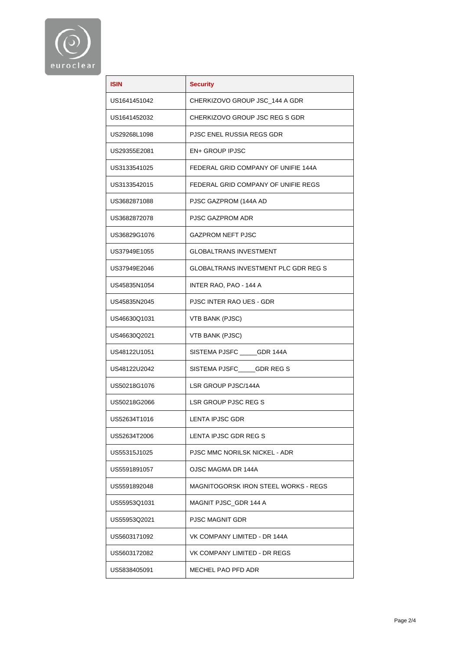

| <b>ISIN</b>  | <b>Security</b>                             |  |
|--------------|---------------------------------------------|--|
|              |                                             |  |
| US1641451042 | CHERKIZOVO GROUP JSC_144 A GDR              |  |
| US1641452032 | CHERKIZOVO GROUP JSC REG S GDR              |  |
| US29268L1098 | PJSC ENEL RUSSIA REGS GDR                   |  |
| US29355E2081 | <b>EN+ GROUP IPJSC</b>                      |  |
| US3133541025 | FEDERAL GRID COMPANY OF UNIFIE 144A         |  |
| US3133542015 | FEDERAL GRID COMPANY OF UNIFIE REGS         |  |
| US3682871088 | PJSC GAZPROM (144A AD                       |  |
| US3682872078 | PJSC GAZPROM ADR                            |  |
| US36829G1076 | <b>GAZPROM NEFT PJSC</b>                    |  |
| US37949E1055 | <b>GLOBALTRANS INVESTMENT</b>               |  |
| US37949E2046 | <b>GLOBALTRANS INVESTMENT PLC GDR REG S</b> |  |
| US45835N1054 | INTER RAO, PAO - 144 A                      |  |
| US45835N2045 | <b>PJSC INTER RAO UES - GDR</b>             |  |
| US46630Q1031 | VTB BANK (PJSC)                             |  |
| US46630Q2021 | VTB BANK (PJSC)                             |  |
| US48122U1051 | SISTEMA PJSFC _____GDR 144A                 |  |
| US48122U2042 | SISTEMA PJSFC____GDR REG S                  |  |
| US50218G1076 | LSR GROUP PJSC/144A                         |  |
| US50218G2066 | LSR GROUP PJSC REG S                        |  |
| US52634T1016 | LENTA IPJSC GDR                             |  |
| US52634T2006 | LENTA IPJSC GDR REG S                       |  |
| US55315J1025 | PJSC MMC NORILSK NICKEL - ADR               |  |
| US5591891057 | OJSC MAGMA DR 144A                          |  |
| US5591892048 | MAGNITOGORSK IRON STEEL WORKS - REGS        |  |
| US55953Q1031 | MAGNIT PJSC_GDR 144 A                       |  |
| US55953Q2021 | <b>PJSC MAGNIT GDR</b>                      |  |
| US5603171092 | VK COMPANY LIMITED - DR 144A                |  |
| US5603172082 | VK COMPANY LIMITED - DR REGS                |  |
| US5838405091 | MECHEL PAO PFD ADR                          |  |
|              |                                             |  |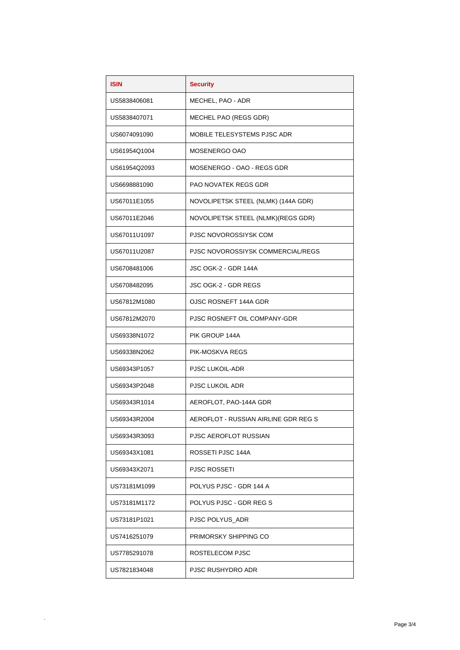| <b>ISIN</b>  | <b>Security</b>                      |  |
|--------------|--------------------------------------|--|
| US5838406081 | MECHEL, PAO - ADR                    |  |
| US5838407071 | MECHEL PAO (REGS GDR)                |  |
| US6074091090 | MOBILE TELESYSTEMS PJSC ADR          |  |
| US61954Q1004 | MOSENERGO OAO                        |  |
| US61954Q2093 | MOSENERGO - OAO - REGS GDR           |  |
| US6698881090 | <b>PAO NOVATEK REGS GDR</b>          |  |
| US67011E1055 | NOVOLIPETSK STEEL (NLMK) (144A GDR)  |  |
| US67011E2046 | NOVOLIPETSK STEEL (NLMK)(REGS GDR)   |  |
| US67011U1097 | PJSC NOVOROSSIYSK COM                |  |
| US67011U2087 | PJSC NOVOROSSIYSK COMMERCIAL/REGS    |  |
| US6708481006 | JSC OGK-2 - GDR 144A                 |  |
| US6708482095 | <b>JSC OGK-2 - GDR REGS</b>          |  |
| US67812M1080 | OJSC ROSNEFT 144A GDR                |  |
| US67812M2070 | PJSC ROSNEFT OIL COMPANY-GDR         |  |
| US69338N1072 | PIK GROUP 144A                       |  |
| US69338N2062 | PIK-MOSKVA REGS                      |  |
| US69343P1057 | <b>PJSC LUKOIL-ADR</b>               |  |
| US69343P2048 | <b>PJSC LUKOIL ADR</b>               |  |
| US69343R1014 | AEROFLOT, PAO-144A GDR               |  |
| US69343R2004 | AEROFLOT - RUSSIAN AIRLINE GDR REG S |  |
| US69343R3093 | PJSC AEROFLOT RUSSIAN                |  |
| US69343X1081 | ROSSETI PJSC 144A                    |  |
| US69343X2071 | <b>PJSC ROSSETI</b>                  |  |
| US73181M1099 | POLYUS PJSC - GDR 144 A              |  |
| US73181M1172 | POLYUS PJSC - GDR REG S              |  |
| US73181P1021 | PJSC POLYUS ADR                      |  |
| US7416251079 | PRIMORSKY SHIPPING CO                |  |
| US7785291078 | ROSTELECOM PJSC                      |  |
| US7821834048 | PJSC RUSHYDRO ADR                    |  |
|              |                                      |  |

.